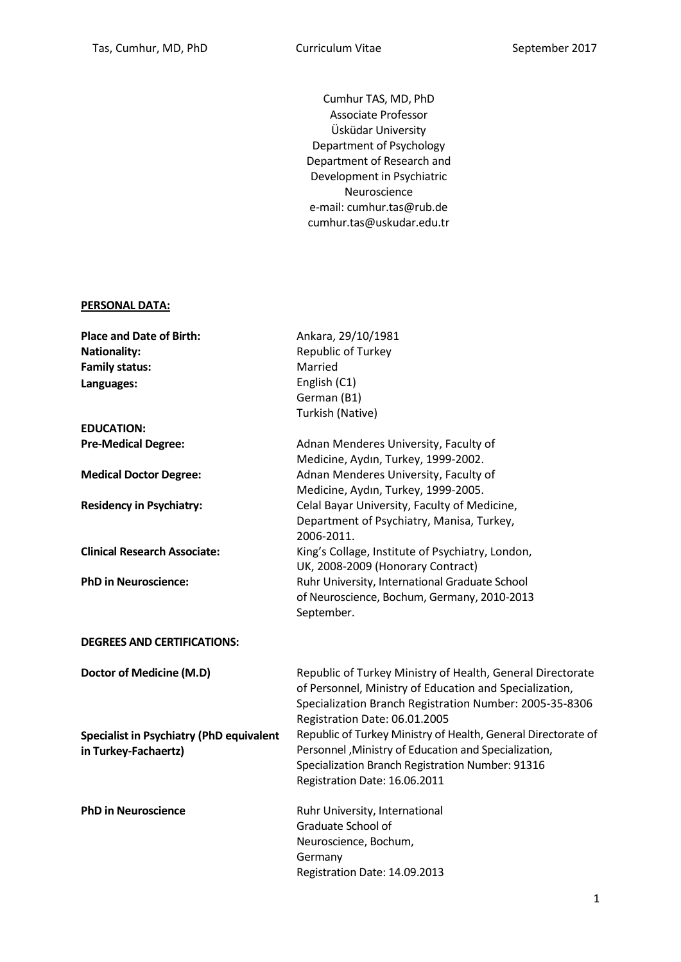Cumhur TAS, MD, PhD Associate Professor Üsküdar University Department of Psychology Department of Research and Development in Psychiatric Neuroscience e-mail: cumhur.tas@rub.de cumhur.tas@uskudar.edu.tr

#### **PERSONAL DATA:**

| <b>Place and Date of Birth:</b>                 | Ankara, 29/10/1981                                            |
|-------------------------------------------------|---------------------------------------------------------------|
| <b>Nationality:</b>                             | Republic of Turkey                                            |
| <b>Family status:</b>                           | Married                                                       |
| Languages:                                      | English (C1)                                                  |
|                                                 | German (B1)                                                   |
|                                                 | Turkish (Native)                                              |
| <b>EDUCATION:</b>                               |                                                               |
| <b>Pre-Medical Degree:</b>                      | Adnan Menderes University, Faculty of                         |
|                                                 | Medicine, Aydın, Turkey, 1999-2002.                           |
| <b>Medical Doctor Degree:</b>                   | Adnan Menderes University, Faculty of                         |
|                                                 | Medicine, Aydın, Turkey, 1999-2005.                           |
| <b>Residency in Psychiatry:</b>                 | Celal Bayar University, Faculty of Medicine,                  |
|                                                 | Department of Psychiatry, Manisa, Turkey,                     |
|                                                 | 2006-2011.                                                    |
| <b>Clinical Research Associate:</b>             | King's Collage, Institute of Psychiatry, London,              |
|                                                 | UK, 2008-2009 (Honorary Contract)                             |
| <b>PhD in Neuroscience:</b>                     | Ruhr University, International Graduate School                |
|                                                 | of Neuroscience, Bochum, Germany, 2010-2013                   |
|                                                 | September.                                                    |
| <b>DEGREES AND CERTIFICATIONS:</b>              |                                                               |
|                                                 |                                                               |
| <b>Doctor of Medicine (M.D)</b>                 | Republic of Turkey Ministry of Health, General Directorate    |
|                                                 | of Personnel, Ministry of Education and Specialization,       |
|                                                 | Specialization Branch Registration Number: 2005-35-8306       |
|                                                 | Registration Date: 06.01.2005                                 |
| <b>Specialist in Psychiatry (PhD equivalent</b> | Republic of Turkey Ministry of Health, General Directorate of |
| in Turkey-Fachaertz)                            | Personnel, Ministry of Education and Specialization,          |
|                                                 | Specialization Branch Registration Number: 91316              |
|                                                 | Registration Date: 16.06.2011                                 |
| <b>PhD in Neuroscience</b>                      | Ruhr University, International                                |
|                                                 | Graduate School of                                            |
|                                                 | Neuroscience, Bochum,                                         |
|                                                 | Germany                                                       |
|                                                 | Registration Date: 14.09.2013                                 |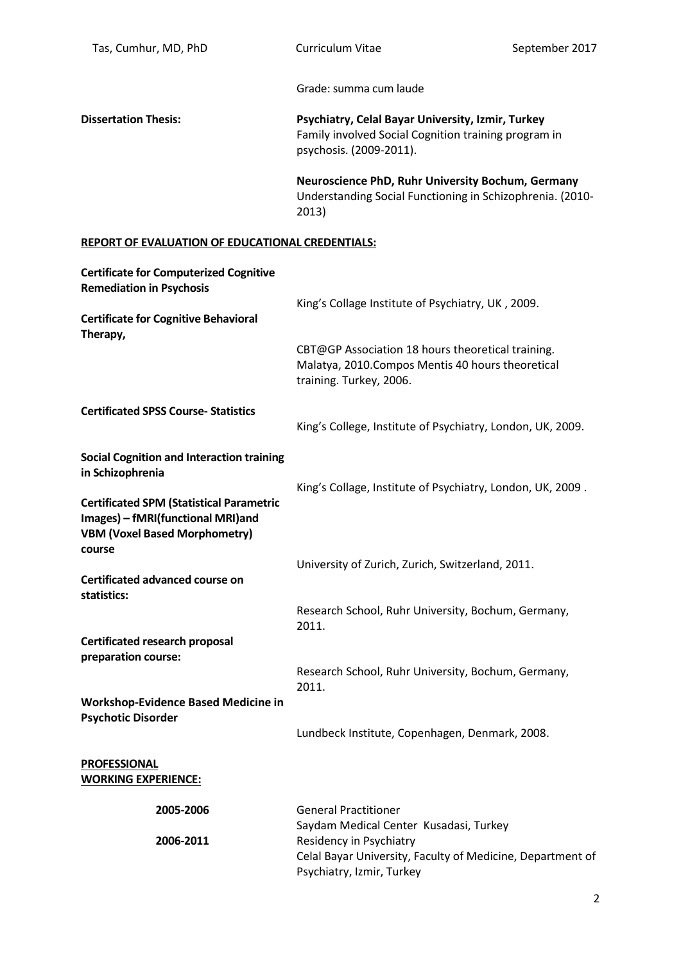Grade: summa cum laude

**Dissertation Thesis: Psychiatry, Celal Bayar University, Izmir, Turkey** Family involved Social Cognition training program in psychosis. (2009-2011).

> **Neuroscience PhD, Ruhr University Bochum, Germany**  Understanding Social Functioning in Schizophrenia. (2010- 2013)

#### **REPORT OF EVALUATION OF EDUCATIONAL CREDENTIALS:**

| <b>Certificate for Computerized Cognitive</b><br><b>Remediation in Psychosis</b><br><b>Certificate for Cognitive Behavioral</b><br>Therapy, | King's Collage Institute of Psychiatry, UK, 2009.<br>CBT@GP Association 18 hours theoretical training.             |
|---------------------------------------------------------------------------------------------------------------------------------------------|--------------------------------------------------------------------------------------------------------------------|
|                                                                                                                                             | Malatya, 2010. Compos Mentis 40 hours theoretical<br>training. Turkey, 2006.                                       |
| <b>Certificated SPSS Course-Statistics</b>                                                                                                  | King's College, Institute of Psychiatry, London, UK, 2009.                                                         |
| <b>Social Cognition and Interaction training</b><br>in Schizophrenia                                                                        | King's Collage, Institute of Psychiatry, London, UK, 2009.                                                         |
| <b>Certificated SPM (Statistical Parametric</b><br>Images) - fMRI(functional MRI)and<br><b>VBM (Voxel Based Morphometry)</b><br>course      |                                                                                                                    |
| <b>Certificated advanced course on</b><br>statistics:                                                                                       | University of Zurich, Zurich, Switzerland, 2011.                                                                   |
|                                                                                                                                             | Research School, Ruhr University, Bochum, Germany,<br>2011.                                                        |
| <b>Certificated research proposal</b><br>preparation course:                                                                                |                                                                                                                    |
| <b>Workshop-Evidence Based Medicine in</b>                                                                                                  | Research School, Ruhr University, Bochum, Germany,<br>2011.                                                        |
| <b>Psychotic Disorder</b>                                                                                                                   | Lundbeck Institute, Copenhagen, Denmark, 2008.                                                                     |
| <b>PROFESSIONAL</b><br><b>WORKING EXPERIENCE:</b>                                                                                           |                                                                                                                    |
| 2005-2006                                                                                                                                   | <b>General Practitioner</b><br>Saydam Medical Center Kusadasi, Turkey                                              |
| 2006-2011                                                                                                                                   | Residency in Psychiatry<br>Celal Bayar University, Faculty of Medicine, Department of<br>Psychiatry, Izmir, Turkey |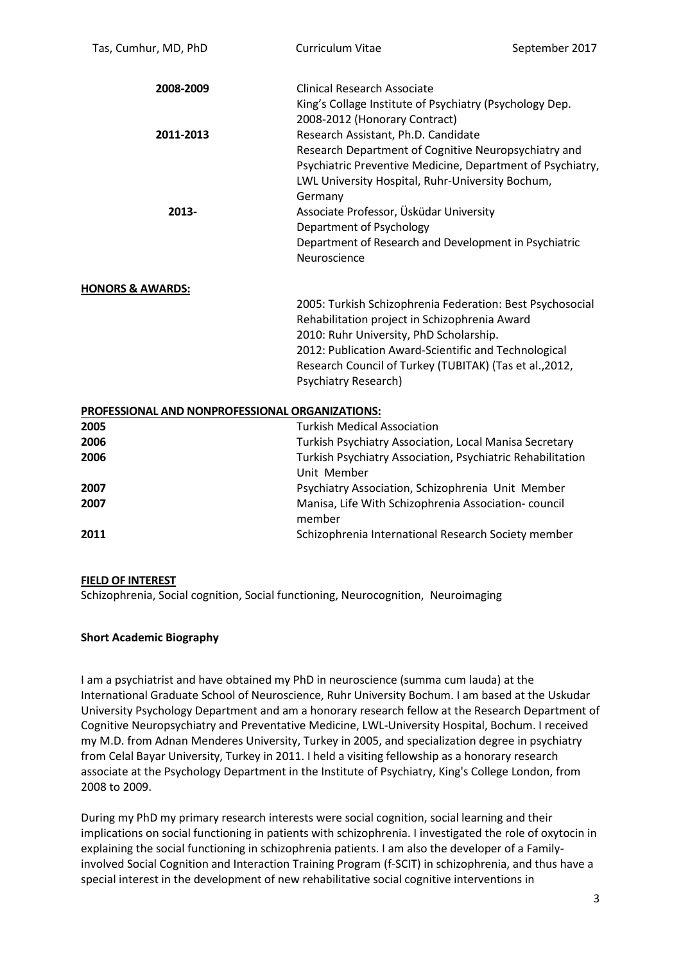| Tas, Cumhur, MD, PhD                            | <b>Curriculum Vitae</b>                                                                                                                                                                                                                                                                          | September 2017 |  |
|-------------------------------------------------|--------------------------------------------------------------------------------------------------------------------------------------------------------------------------------------------------------------------------------------------------------------------------------------------------|----------------|--|
| 2008-2009                                       | <b>Clinical Research Associate</b><br>King's Collage Institute of Psychiatry (Psychology Dep.<br>2008-2012 (Honorary Contract)                                                                                                                                                                   |                |  |
| 2011-2013                                       | Research Assistant, Ph.D. Candidate<br>Research Department of Cognitive Neuropsychiatry and<br>Psychiatric Preventive Medicine, Department of Psychiatry,<br>LWL University Hospital, Ruhr-University Bochum,<br>Germany                                                                         |                |  |
| 2013-                                           | Associate Professor, Üsküdar University<br>Department of Psychology<br>Department of Research and Development in Psychiatric<br>Neuroscience                                                                                                                                                     |                |  |
| <b>HONORS &amp; AWARDS:</b>                     |                                                                                                                                                                                                                                                                                                  |                |  |
|                                                 | 2005: Turkish Schizophrenia Federation: Best Psychosocial<br>Rehabilitation project in Schizophrenia Award<br>2010: Ruhr University, PhD Scholarship.<br>2012: Publication Award-Scientific and Technological<br>Research Council of Turkey (TUBITAK) (Tas et al., 2012,<br>Psychiatry Research) |                |  |
| PROFESSIONAL AND NONPROFESSIONAL ORGANIZATIONS: |                                                                                                                                                                                                                                                                                                  |                |  |
| 2005                                            | <b>Turkish Medical Association</b>                                                                                                                                                                                                                                                               |                |  |
| 2006                                            | Turkish Psychiatry Association, Local Manisa Secretary                                                                                                                                                                                                                                           |                |  |
| 2006                                            | Turkish Psychiatry Association, Psychiatric Rehabilitation<br>Unit Member                                                                                                                                                                                                                        |                |  |
| 2007                                            | Psychiatry Association, Schizophrenia Unit Member                                                                                                                                                                                                                                                |                |  |
| 2007                                            | Manisa, Life With Schizophrenia Association-council<br>member                                                                                                                                                                                                                                    |                |  |
| 2011                                            | Schizophrenia International Research Society member                                                                                                                                                                                                                                              |                |  |

### **FIELD OF INTEREST**

Schizophrenia, Social cognition, Social functioning, Neurocognition, Neuroimaging

### **Short Academic Biography**

I am a psychiatrist and have obtained my PhD in neuroscience (summa cum lauda) at the International Graduate School of Neuroscience, Ruhr University Bochum. I am based at the Uskudar University Psychology Department and am a honorary research fellow at the Research Department of Cognitive Neuropsychiatry and Preventative Medicine, LWL-University Hospital, Bochum. I received my M.D. from Adnan Menderes University, Turkey in 2005, and specialization degree in psychiatry from Celal Bayar University, Turkey in 2011. I held a visiting fellowship as a honorary research associate at the Psychology Department in the Institute of Psychiatry, King's College London, from 2008 to 2009.

During my PhD my primary research interests were social cognition, social learning and their implications on social functioning in patients with schizophrenia. I investigated the role of oxytocin in explaining the social functioning in schizophrenia patients. I am also the developer of a Familyinvolved Social Cognition and Interaction Training Program (f-SCIT) in schizophrenia, and thus have a special interest in the development of new rehabilitative social cognitive interventions in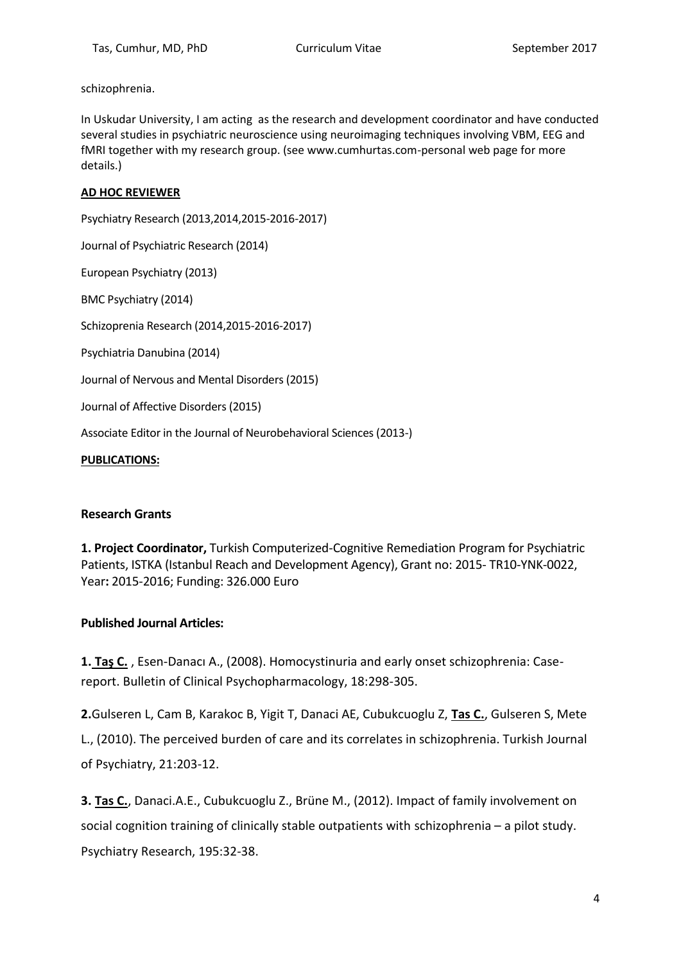schizophrenia.

In Uskudar University, I am acting as the research and development coordinator and have conducted several studies in psychiatric neuroscience using neuroimaging techniques involving VBM, EEG and fMRI together with my research group. (see www.cumhurtas.com-personal web page for more details.)

## **AD HOC REVIEWER**

Psychiatry Research (2013,2014,2015-2016-2017) Journal of Psychiatric Research (2014) European Psychiatry (2013) BMC Psychiatry (2014) Schizoprenia Research (2014,2015-2016-2017) Psychiatria Danubina (2014) Journal of Nervous and Mental Disorders (2015) Journal of Affective Disorders (2015) Associate Editor in the Journal of Neurobehavioral Sciences (2013-)

**PUBLICATIONS:** 

### **Research Grants**

**1. Project Coordinator,** Turkish Computerized-Cognitive Remediation Program for Psychiatric Patients, ISTKA (Istanbul Reach and Development Agency), Grant no: 2015- TR10-YNK-0022, Year**:** 2015-2016; Funding: 326.000 Euro

### **Published Journal Articles:**

**1. Taş C.** , Esen-Danacı A., (2008). Homocystinuria and early onset schizophrenia: Casereport. Bulletin of Clinical Psychopharmacology, 18:298-305.

**2.**Gulseren L, Cam B, Karakoc B, Yigit T, Danaci AE, Cubukcuoglu Z, **Tas C.**, Gulseren S, Mete L., (2010). The perceived burden of care and its correlates in schizophrenia. Turkish Journal of Psychiatry, 21:203-12.

**3. Tas C.**, Danaci.A.E., Cubukcuoglu Z., Brüne M., (2012). Impact of family involvement on social cognition training of clinically stable outpatients with schizophrenia – a pilot study. Psychiatry Research, 195:32-38.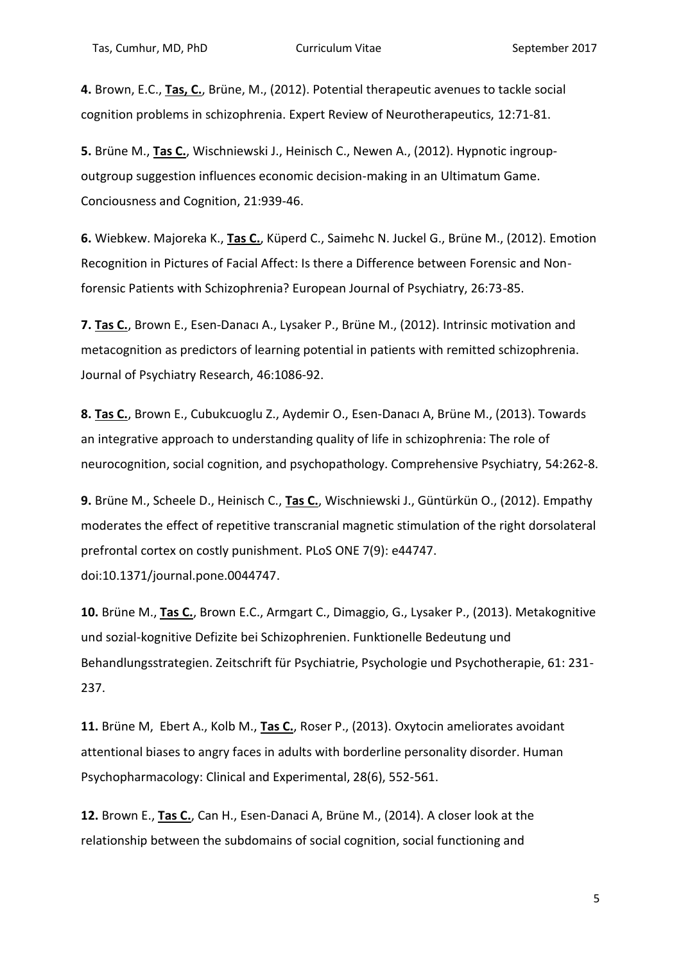**4.** Brown, E.C., **Tas, C.**, Brüne, M., (2012). Potential therapeutic avenues to tackle social cognition problems in schizophrenia. Expert Review of Neurotherapeutics, 12:71-81.

**5.** Brüne M., **Tas C.**, Wischniewski J., Heinisch C., Newen A., (2012). Hypnotic ingroupoutgroup suggestion influences economic decision-making in an Ultimatum Game. Conciousness and Cognition, 21:939-46.

**6.** Wiebkew. Majoreka K., **Tas C.**, Küperd C., Saimehc N. Juckel G., Brüne M., (2012). Emotion Recognition in Pictures of Facial Affect: Is there a Difference between Forensic and Nonforensic Patients with Schizophrenia? European Journal of Psychiatry, 26:73-85.

**7. Tas C.**, Brown E., Esen-Danacı A., Lysaker P., Brüne M., (2012). Intrinsic motivation and metacognition as predictors of learning potential in patients with remitted schizophrenia. Journal of Psychiatry Research, 46:1086-92.

**8. Tas C.**, Brown E., Cubukcuoglu Z., Aydemir O., Esen-Danacı A, Brüne M., (2013). Towards an integrative approach to understanding quality of life in schizophrenia: The role of neurocognition, social cognition, and psychopathology. Comprehensive Psychiatry, 54:262-8.

**9.** Brüne M., Scheele D., Heinisch C., **Tas C.**, Wischniewski J., Güntürkün O., (2012). Empathy moderates the effect of repetitive transcranial magnetic stimulation of the right dorsolateral prefrontal cortex on costly punishment. PLoS ONE 7(9): e44747. doi:10.1371/journal.pone.0044747.

**10.** Brüne M., **Tas C.**, Brown E.C., Armgart C., Dimaggio, G., Lysaker P., (2013). Metakognitive und sozial-kognitive Defizite bei Schizophrenien. Funktionelle Bedeutung und Behandlungsstrategien. Zeitschrift für Psychiatrie, Psychologie und Psychotherapie, 61: 231- 237.

**11.** Brüne M, Ebert A., Kolb M., **Tas C.**, Roser P., (2013). Oxytocin ameliorates avoidant attentional biases to angry faces in adults with borderline personality disorder. Human Psychopharmacology: Clinical and Experimental, 28(6), 552-561.

**12.** Brown E., **Tas C.**, Can H., Esen-Danaci A, Brüne M., (2014). A closer look at the relationship between the subdomains of social cognition, social functioning and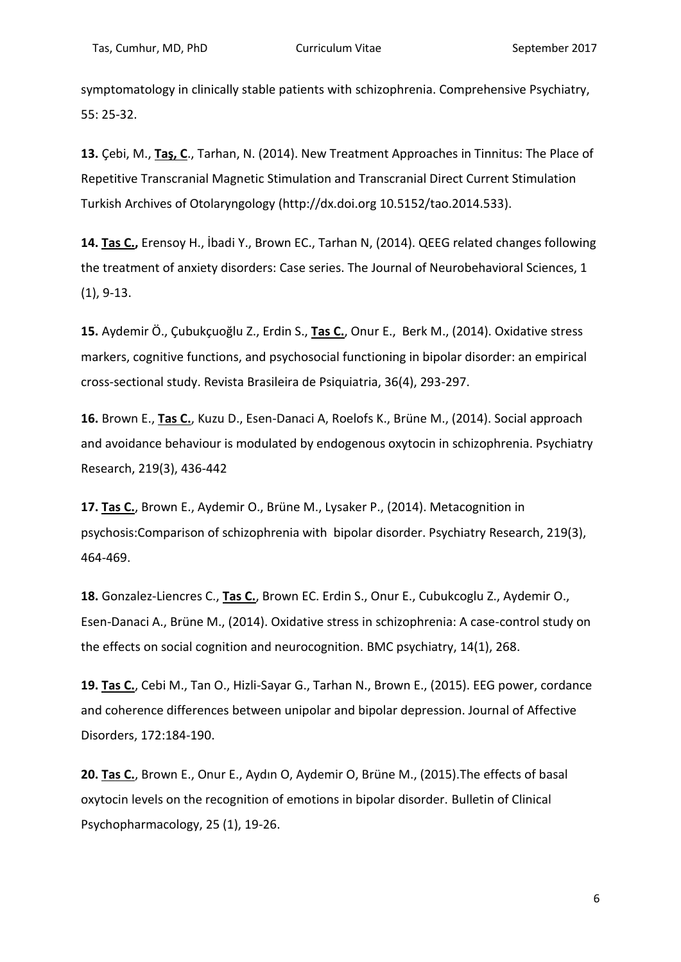symptomatology in clinically stable patients with schizophrenia. Comprehensive Psychiatry, 55: 25-32.

**13.** Çebi, M., **Taş, C**., Tarhan, N. (2014). New Treatment Approaches in Tinnitus: The Place of Repetitive Transcranial Magnetic Stimulation and Transcranial Direct Current Stimulation Turkish Archives of Otolaryngology (http://dx.doi.org 10.5152/tao.2014.533).

**14. Tas C.,** Erensoy H., İbadi Y., Brown EC., Tarhan N, (2014). QEEG related changes following the treatment of anxiety disorders: Case series. The Journal of Neurobehavioral Sciences, 1 (1), 9-13.

**15.** Aydemir Ö., Çubukçuoğlu Z., Erdin S., **Tas C.**, Onur E., Berk M., (2014). Oxidative stress markers, cognitive functions, and psychosocial functioning in bipolar disorder: an empirical cross-sectional study. Revista Brasileira de Psiquiatria, 36(4), 293-297.

**16.** Brown E., **Tas C.**, Kuzu D., Esen-Danaci A, Roelofs K., Brüne M., (2014). Social approach and avoidance behaviour is modulated by endogenous oxytocin in schizophrenia. Psychiatry Research, 219(3), 436-442

**17. Tas C.**, Brown E., Aydemir O., Brüne M., Lysaker P., (2014). Metacognition in psychosis:Comparison of schizophrenia with bipolar disorder. Psychiatry Research, 219(3), 464-469.

**18.** Gonzalez-Liencres C., **Tas C.**, Brown EC. Erdin S., Onur E., Cubukcoglu Z., Aydemir O., Esen-Danaci A., Brüne M., (2014). Oxidative stress in schizophrenia: A case-control study on the effects on social cognition and neurocognition. BMC psychiatry, 14(1), 268.

**19. Tas C.**, Cebi M., Tan O., Hizli-Sayar G., Tarhan N., Brown E., (2015). EEG power, cordance and coherence differences between unipolar and bipolar depression. Journal of Affective Disorders, 172:184-190.

**20. Tas C.**, Brown E., Onur E., Aydın O, Aydemir O, Brüne M., (2015).The effects of basal oxytocin levels on the recognition of emotions in bipolar disorder. Bulletin of Clinical Psychopharmacology, 25 (1), 19-26.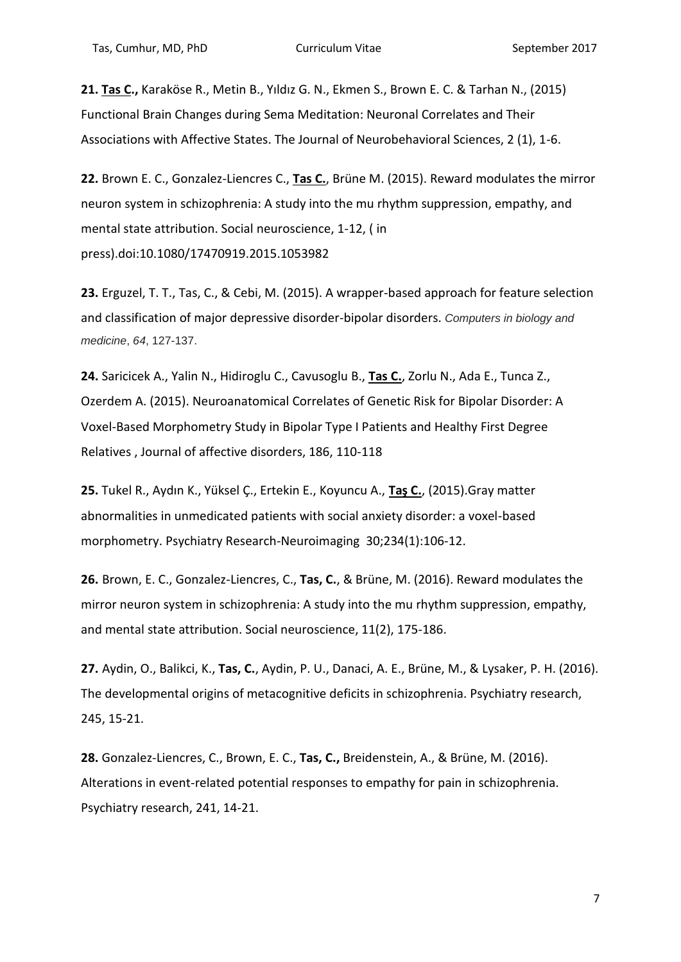**21. Tas C.,** Karaköse R., Metin B., Yıldız G. N., Ekmen S., Brown E. C. & Tarhan N., (2015) Functional Brain Changes during Sema Meditation: Neuronal Correlates and Their Associations with Affective States. The Journal of Neurobehavioral Sciences, 2 (1), 1-6.

**22.** Brown E. C., Gonzalez-Liencres C., **Tas C.**, Brüne M. (2015). Reward modulates the mirror neuron system in schizophrenia: A study into the mu rhythm suppression, empathy, and mental state attribution. Social neuroscience, 1-12, ( in press).doi:10.1080/17470919.2015.1053982

**23.** Erguzel, T. T., Tas, C., & Cebi, M. (2015). A wrapper-based approach for feature selection and classification of major depressive disorder-bipolar disorders. *Computers in biology and medicine*, *64*, 127-137.

**24.** Saricicek A., Yalin N., Hidiroglu C., Cavusoglu B., **Tas C.**, Zorlu N., Ada E., Tunca Z., Ozerdem A. (2015). Neuroanatomical Correlates of Genetic Risk for Bipolar Disorder: A Voxel-Based Morphometry Study in Bipolar Type I Patients and Healthy First Degree Relatives , Journal of affective disorders, 186, 110-118

**25.** Tukel R., Aydın K., Yüksel Ç., Ertekin E., Koyuncu A., **Taş C.**, (2015).Gray matter abnormalities in unmedicated patients with social anxiety disorder: a voxel-based morphometry. Psychiatry Research-Neuroimaging 30;234(1):106-12.

**26.** Brown, E. C., Gonzalez-Liencres, C., **Tas, C.**, & Brüne, M. (2016). Reward modulates the mirror neuron system in schizophrenia: A study into the mu rhythm suppression, empathy, and mental state attribution. Social neuroscience, 11(2), 175-186.

**27.** Aydin, O., Balikci, K., **Tas, C.**, Aydin, P. U., Danaci, A. E., Brüne, M., & Lysaker, P. H. (2016). The developmental origins of metacognitive deficits in schizophrenia. Psychiatry research, 245, 15-21.

**28.** Gonzalez-Liencres, C., Brown, E. C., **Tas, C.,** Breidenstein, A., & Brüne, M. (2016). Alterations in event-related potential responses to empathy for pain in schizophrenia. Psychiatry research, 241, 14-21.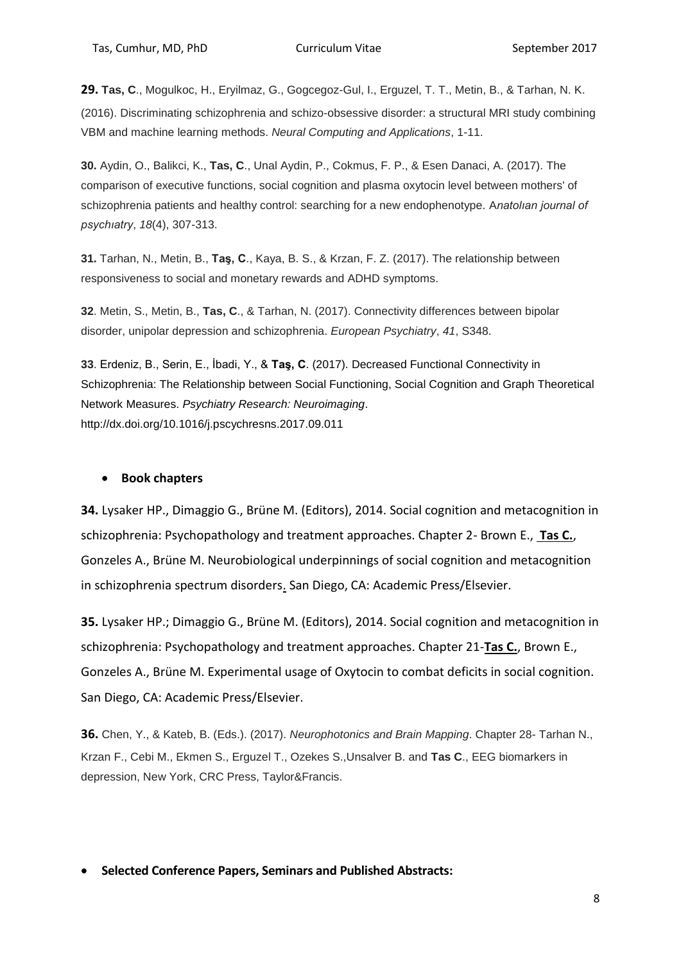**29. Tas, C**., Mogulkoc, H., Eryilmaz, G., Gogcegoz-Gul, I., Erguzel, T. T., Metin, B., & Tarhan, N. K. (2016). Discriminating schizophrenia and schizo-obsessive disorder: a structural MRI study combining VBM and machine learning methods. *Neural Computing and Applications*, 1-11.

**30.** Aydin, O., Balikci, K., **Tas, C**., Unal Aydin, P., Cokmus, F. P., & Esen Danaci, A. (2017). The comparison of executive functions, social cognition and plasma oxytocin level between mothers' of schizophrenia patients and healthy control: searching for a new endophenotype. A*natolıan journal of psychıatry*, *18*(4), 307-313.

**31.** Tarhan, N., Metin, B., **Taş, C**., Kaya, B. S., & Krzan, F. Z. (2017). The relationship between responsiveness to social and monetary rewards and ADHD symptoms.

**32**. Metin, S., Metin, B., **Tas, C**., & Tarhan, N. (2017). Connectivity differences between bipolar disorder, unipolar depression and schizophrenia. *European Psychiatry*, *41*, S348.

**33**. Erdeniz, B., Serin, E., İbadi, Y., & **Taş, C**. (2017). Decreased Functional Connectivity in Schizophrenia: The Relationship between Social Functioning, Social Cognition and Graph Theoretical Network Measures. *Psychiatry Research: Neuroimaging*. http://dx.doi.org/10.1016/j.pscychresns.2017.09.011

## **Book chapters**

**34.** Lysaker HP., Dimaggio G., Brüne M. (Editors), 2014. Social cognition and metacognition in schizophrenia: Psychopathology and treatment approaches. Chapter 2- Brown E., **Tas C.**, Gonzeles A., Brüne M. Neurobiological underpinnings of social cognition and metacognition in schizophrenia spectrum disorders. San Diego, CA: Academic Press/Elsevier.

**35.** Lysaker HP.; Dimaggio G., Brüne M. (Editors), 2014. Social cognition and metacognition in schizophrenia: Psychopathology and treatment approaches. Chapter 21-**Tas C.**, Brown E., Gonzeles A., Brüne M. Experimental usage of Oxytocin to combat deficits in social cognition. San Diego, CA: Academic Press/Elsevier.

**36.** Chen, Y., & Kateb, B. (Eds.). (2017). *Neurophotonics and Brain Mapping*. Chapter 28- Tarhan N., Krzan F., Cebi M., Ekmen S., Erguzel T., Ozekes S.,Unsalver B. and **Tas C**., EEG biomarkers in depression, New York, CRC Press, Taylor&Francis.

**Selected Conference Papers, Seminars and Published Abstracts:**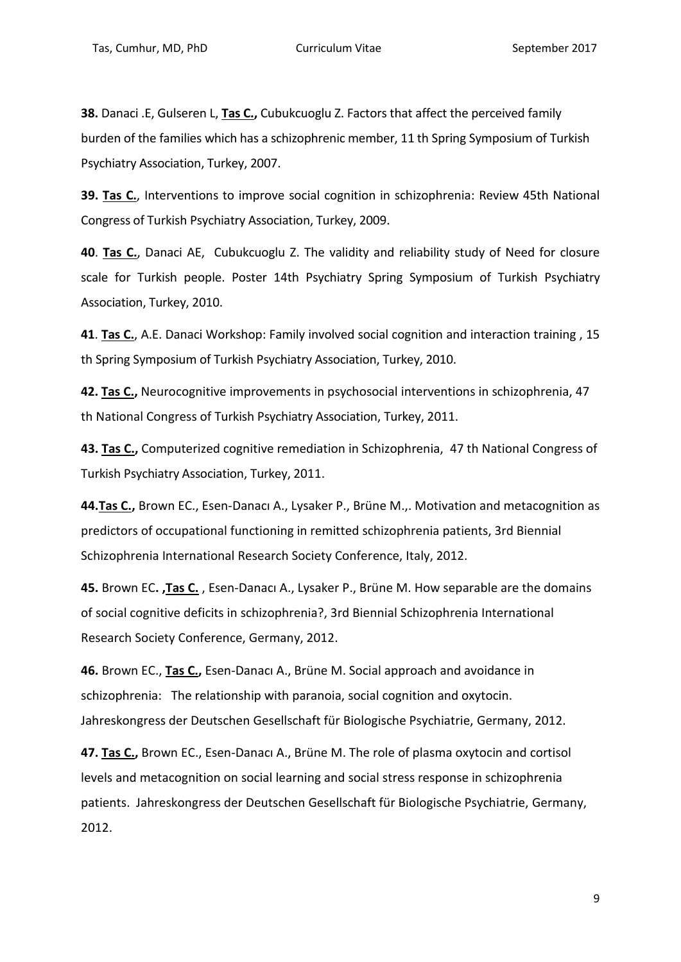**38.** Danaci .E, Gulseren L, **Tas C.,** Cubukcuoglu Z. Factors that affect the perceived family burden of the families which has a schizophrenic member, 11 th Spring Symposium of Turkish Psychiatry Association, Turkey, 2007.

**39. Tas C.**, Interventions to improve social cognition in schizophrenia: Review 45th National Congress of Turkish Psychiatry Association, Turkey, 2009.

**40**. **Tas C.**, Danaci AE, Cubukcuoglu Z. The validity and reliability study of Need for closure scale for Turkish people. Poster 14th Psychiatry Spring Symposium of Turkish Psychiatry Association, Turkey, 2010.

**41**. **Tas C.**, A.E. Danaci Workshop: Family involved social cognition and interaction training , 15 th Spring Symposium of Turkish Psychiatry Association, Turkey, 2010.

**42. Tas C.,** Neurocognitive improvements in psychosocial interventions in schizophrenia, 47 th National Congress of Turkish Psychiatry Association, Turkey, 2011.

**43. Tas C.,** Computerized cognitive remediation in Schizophrenia, 47 th National Congress of Turkish Psychiatry Association, Turkey, 2011.

**44.Tas C.,** Brown EC., Esen-Danacı A., Lysaker P., Brüne M.,. Motivation and metacognition as predictors of occupational functioning in remitted schizophrenia patients, 3rd Biennial Schizophrenia International Research Society Conference, Italy, 2012.

**45.** Brown EC**. ,Tas C.** , Esen-Danacı A., Lysaker P., Brüne M. How separable are the domains of social cognitive deficits in schizophrenia?, 3rd Biennial Schizophrenia International Research Society Conference, Germany, 2012.

**46.** Brown EC., **Tas C.,** Esen-Danacı A., Brüne M. Social approach and avoidance in schizophrenia: The relationship with paranoia, social cognition and oxytocin. Jahreskongress der Deutschen Gesellschaft für Biologische Psychiatrie, Germany, 2012.

**47. Tas C.,** Brown EC., Esen-Danacı A., Brüne M. The role of plasma oxytocin and cortisol levels and metacognition on social learning and social stress response in schizophrenia patients. Jahreskongress der Deutschen Gesellschaft für Biologische Psychiatrie, Germany, 2012.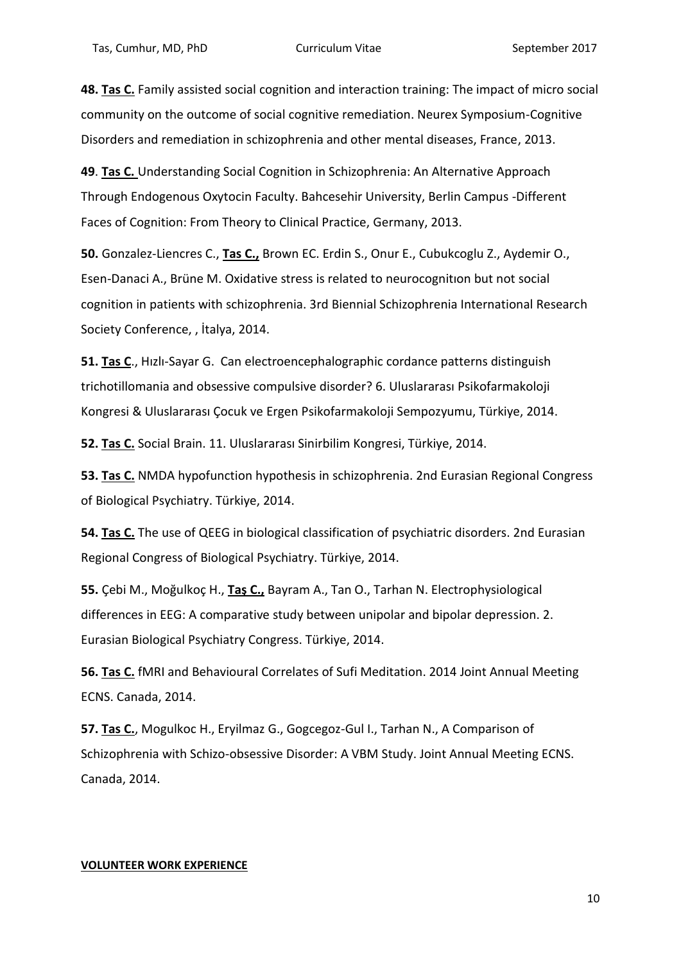**48. Tas C.** Family assisted social cognition and interaction training: The impact of micro social community on the outcome of social cognitive remediation. Neurex Symposium-Cognitive Disorders and remediation in schizophrenia and other mental diseases, France, 2013.

**49**. **Tas C.** Understanding Social Cognition in Schizophrenia: An Alternative Approach Through Endogenous Oxytocin Faculty. Bahcesehir University, Berlin Campus -Different Faces of Cognition: From Theory to Clinical Practice, Germany, 2013.

**50.** Gonzalez-Liencres C., **Tas C.,** Brown EC. Erdin S., Onur E., Cubukcoglu Z., Aydemir O., Esen-Danaci A., Brüne M. Oxidative stress is related to neurocognitıon but not social cognition in patients with schizophrenia. 3rd Biennial Schizophrenia International Research Society Conference, , İtalya, 2014.

**51. Tas C**., Hızlı-Sayar G. Can electroencephalographic cordance patterns distinguish trichotillomania and obsessive compulsive disorder? 6. Uluslararası Psikofarmakoloji Kongresi & Uluslararası Çocuk ve Ergen Psikofarmakoloji Sempozyumu, Türkiye, 2014.

**52. Tas C.** Social Brain. 11. Uluslararası Sinirbilim Kongresi, Türkiye, 2014.

**53. Tas C.** NMDA hypofunction hypothesis in schizophrenia. 2nd Eurasian Regional Congress of Biological Psychiatry. Türkiye, 2014.

**54. Tas C.** The use of QEEG in biological classification of psychiatric disorders. 2nd Eurasian Regional Congress of Biological Psychiatry. Türkiye, 2014.

**55.** Çebi M., Moğulkoç H., **Taş C.,** Bayram A., Tan O., Tarhan N. Electrophysiological differences in EEG: A comparative study between unipolar and bipolar depression. 2. Eurasian Biological Psychiatry Congress. Türkiye, 2014.

**56. Tas C.** fMRI and Behavioural Correlates of Sufi Meditation. 2014 Joint Annual Meeting ECNS. Canada, 2014.

**57. Tas C.**, Mogulkoc H., Eryilmaz G., Gogcegoz-Gul I., Tarhan N., A Comparison of Schizophrenia with Schizo-obsessive Disorder: A VBM Study. Joint Annual Meeting ECNS. Canada, 2014.

### **VOLUNTEER WORK EXPERIENCE**